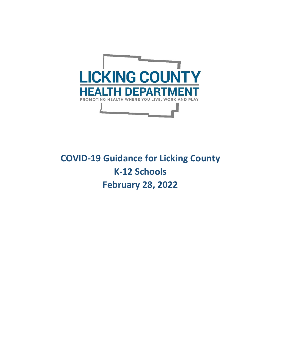

# **COVID-19 Guidance for Licking County K-12 Schools February 28, 2022**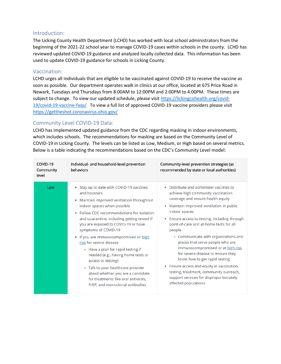#### Introduction:

The Licking County Health Department (LCHD) has worked with local school administrators from the beginning of the 2021-22 school year to manage COVID-19 cases within schools in the county. LCHD has reviewed updated COVID-19 guidance and analyzed locally collected data. This information has been used to update COVID-19 guidance for schools in Licking County.

# Vaccination:

LCHD urges all individuals that are eligible to be vaccinated against COVID-19 to receive the vaccine as soon as possible. Our department operates walk in clinics at our office, located at 675 Price Road in Newark, Tuesdays and Thursdays from 8:00AM to 12:00PM and 2:00PM to 4:00PM. These times are subject to change. To view our updated schedule, please visit [https://lickingcohealth.org/covid-](https://lickingcohealth.org/covid-19/covid-19-vaccine-faqs/)[19/covid-19-vaccine-faqs/](https://lickingcohealth.org/covid-19/covid-19-vaccine-faqs/) To view a full list of approved COVID-19 vaccine providers please visit <https://gettheshot.coronavirus.ohio.gov/>

# Community Level COVID-19 Data:

LCHD has implemented updated guidance from the CDC regarding masking in indoor environments, which includes schools. The recommendations for masking are based on the Community Level of COVID-19 in Licking County. The levels can be listed as Low, Medium, or High based on several metrics. Below is a table indicating the recommendations based on the CDC's Community Level model:

| COVID-19<br><b>Community</b><br>level | Individual- and household-level prevention<br><b>behaviors</b>                                                                                                                                                                                                                                                                                                                                                                                                                                                                                                                                                           | Community-level prevention strategies (as<br>recommended by state or local authorities)                                                                                                                                                                                                                                                                                                                                                                                                                                                                                                                                             |
|---------------------------------------|--------------------------------------------------------------------------------------------------------------------------------------------------------------------------------------------------------------------------------------------------------------------------------------------------------------------------------------------------------------------------------------------------------------------------------------------------------------------------------------------------------------------------------------------------------------------------------------------------------------------------|-------------------------------------------------------------------------------------------------------------------------------------------------------------------------------------------------------------------------------------------------------------------------------------------------------------------------------------------------------------------------------------------------------------------------------------------------------------------------------------------------------------------------------------------------------------------------------------------------------------------------------------|
| Low                                   | • Stay up to date with COVID-19 vaccines<br>and boosters<br>Maintain improved ventilation throughout<br>indoor spaces when possible<br>Follow CDC recommendations for isolation<br>and quarantine, including getting tested if<br>you are exposed to COVID-19 or have<br>symptoms of COVID-19<br>If you are immunocompromised or high<br>risk for severe disease<br>- Have a plan for rapid testing if<br>needed (e.g., having home tests or<br>access to testing)<br>- Talk to your healthcare provider<br>about whether you are a candidate<br>for treatments like oral antivirals,<br>PrEP, and monoclonal antibodies | Distribute and administer vaccines to<br>achieve high community vaccination<br>coverage and ensure health equity<br>Maintain improved ventilation in public<br>indoor spaces<br>Ensure access to testing, including through<br>point-of-care and at-home tests for all<br>people<br>- Communicate with organizations and<br>places that serve people who are<br>immunocompromised or at high risk<br>for severe disease to ensure they<br>know how to get rapid testing<br>• Ensure access and equity in vaccination,<br>testing, treatment, community outreach,<br>support services for disproportionately<br>affected populations |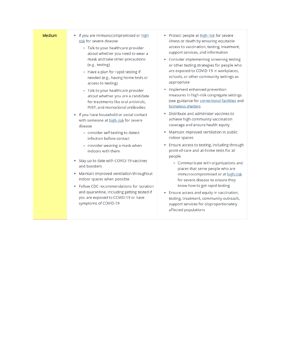| Medium | • If you are immunocompromised or high<br>risk for severe disease<br>- Talk to your healthcare provider<br>about whether you need to wear a<br>mask and take other precautions<br>(e.g., testing)<br>- Have a plan for rapid testing if<br>needed (e.g., having home tests or<br>access to testing)<br>- Talk to your healthcare provider<br>about whether you are a candidate<br>for treatments like oral antivirals.<br>PrEP, and monoclonal antibodies | • Protect people at high risk for severe<br>illness or death by ensuring equitable<br>access to vaccination, testing, treatment,<br>support services, and information<br>• Consider implementing screening testing<br>or other testing strategies for people who<br>are exposed to COVID-19 in workplaces,<br>schools, or other community settings as<br>appropriate<br>• Implement enhanced prevention<br>measures in high-risk congregate settings<br>(see guidance for correctional facilities and<br>homeless shelters |
|--------|-----------------------------------------------------------------------------------------------------------------------------------------------------------------------------------------------------------------------------------------------------------------------------------------------------------------------------------------------------------------------------------------------------------------------------------------------------------|----------------------------------------------------------------------------------------------------------------------------------------------------------------------------------------------------------------------------------------------------------------------------------------------------------------------------------------------------------------------------------------------------------------------------------------------------------------------------------------------------------------------------|
|        | . If you have household or social contact<br>with someone at high risk for severe<br>disease<br>- consider self-testing to detect<br>infection before contact                                                                                                                                                                                                                                                                                             | • Distribute and administer vaccines to<br>achieve high community vaccination<br>coverage and ensure health equity<br>• Maintain improved ventilation in public<br>indoor spaces                                                                                                                                                                                                                                                                                                                                           |
|        | - consider wearing a mask when<br>indoors with them<br>• Stay up to date with COVID-19 vaccines<br>and boosters<br>Maintain improved ventilation throughout<br>٠<br>indoor spaces when possible<br>Follow CDC recommendations for isolation<br>٠<br>and quarantine, including getting tested if<br>you are exposed to COVID-19 or have<br>symptoms of COVID-19                                                                                            | • Ensure access to testing, including through<br>point-of-care and at-home tests for all<br>people<br>- Communicate with organizations and<br>places that serve people who are<br>immunocompromised or at high risk<br>for severe disease to ensure they<br>know how to get rapid testing<br>• Ensure access and equity in vaccination,<br>testing, treatment, community outreach,<br>support services for disproportionately<br>affected populations                                                                      |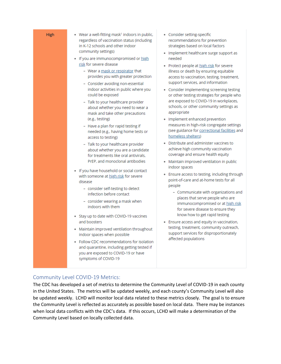| immunocompromised or at high risk<br>indoors with them<br>for severe disease to ensure they<br>know how to get rapid testing<br>• Stay up to date with COVID-19 vaccines<br>and boosters<br>• Ensure access and equity in vaccination,<br>testing, treatment, community outreach,<br>• Maintain improved ventilation throughout<br>support services for disproportionately<br>indoor spaces when possible<br>affected populations<br>· Follow CDC recommendations for isolation<br>and quarantine, including getting tested if<br>you are exposed to COVID-19 or have<br>symptoms of COVID-19 |
|-----------------------------------------------------------------------------------------------------------------------------------------------------------------------------------------------------------------------------------------------------------------------------------------------------------------------------------------------------------------------------------------------------------------------------------------------------------------------------------------------------------------------------------------------------------------------------------------------|
|                                                                                                                                                                                                                                                                                                                                                                                                                                                                                                                                                                                               |
| indoor spaces<br>. If you have household or social contact<br>• Ensure access to testing, including through<br>with someone at high risk for severe<br>point-of-care and at-home tests for all<br>disease<br>people<br>- consider self-testing to detect<br>- Communicate with organizations and<br>infection before contact<br>places that serve people who are<br>- consider wearing a mask when                                                                                                                                                                                            |
| measures in high-risk congregate settings<br>- Have a plan for rapid testing if<br>(see guidance for correctional facilities and<br>needed (e.g., having home tests or<br>homeless shelters)<br>access to testing)<br>Distribute and administer vaccines to<br>- Talk to your healthcare provider<br>achieve high community vaccination<br>about whether you are a candidate<br>coverage and ensure health equity<br>for treatments like oral antivirals.<br>PrEP, and monoclonal antibodies<br>• Maintain improved ventilation in public                                                     |

# The CDC has developed a set of metrics to determine the Community Level of COVID-19 in each county in the United States. The metrics will be updated weekly, and each county's Community Level will also be updated weekly. LCHD will monitor local data related to these metrics closely. The goal is to ensure the Community Level is reflected as accurately as possible based on local data. There may be instances when local data conflicts with the CDC's data. If this occurs, LCHD will make a determination of the

Community Level based on locally collected data.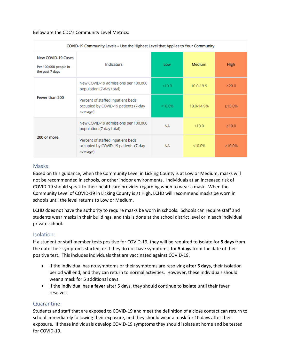#### Below are the CDC's Community Level Metrics:

| COVID-19 Community Levels – Use the Highest Level that Applies to Your Community |                                                                                       |            |               |               |  |  |
|----------------------------------------------------------------------------------|---------------------------------------------------------------------------------------|------------|---------------|---------------|--|--|
| <b>New COVID-19 Cases</b><br>Per 100,000 people in<br>the past 7 days            | <b>Indicators</b>                                                                     | Low        | <b>Medium</b> | <b>High</b>   |  |  |
|                                                                                  | New COVID-19 admissions per 100,000<br>population (7-day total)                       | < 10.0     | $10.0 - 19.9$ | >20.0         |  |  |
| Fewer than 200                                                                   | Percent of staffed inpatient beds<br>occupied by COVID-19 patients (7-day<br>average) | $< 10.0\%$ | 10.0-14.9%    | $\geq 15.0\%$ |  |  |
|                                                                                  | New COVID-19 admissions per 100,000<br>population (7-day total)                       | <b>NA</b>  | < 10.0        | >10.0         |  |  |
| 200 or more                                                                      | Percent of staffed inpatient beds<br>occupied by COVID-19 patients (7-day<br>average) | <b>NA</b>  | $< 10.0\%$    | $\geq 10.0\%$ |  |  |

#### Masks:

Based on this guidance, when the Community Level in Licking County is at Low or Medium, masks will not be recommended in schools, or other indoor environments. Individuals at an increased risk of COVID-19 should speak to their healthcare provider regarding when to wear a mask. When the Community Level of COVID-19 in Licking County is at High, LCHD will recommend masks be worn in schools until the level returns to Low or Medium.

LCHD does not have the authority to require masks be worn in schools. Schools can require staff and students wear masks in their buildings, and this is done at the school district level or in each individual private school.

#### Isolation:

If a student or staff member tests positive for COVID-19, they will be required to isolate for **5 days** from the date their symptoms started, or if they do not have symptoms, for **5 days** from the date of their positive test. This includes individuals that are vaccinated against COVID-19.

- If the individual has no symptoms or their symptoms are resolving **after 5 days,** their isolation period will end, and they can return to normal activities. However, these individuals should wear a mask for 5 additional days.
- If the individual has **a fever** after 5 days, they should continue to isolate until their fever resolves.

#### Quarantine:

Students and staff that are exposed to COVID-19 and meet the definition of a close contact can return to school immediately following their exposure, and they should wear a mask for 10 days after their exposure. If these individuals develop COVID-19 symptoms they should isolate at home and be tested for COVID-19.